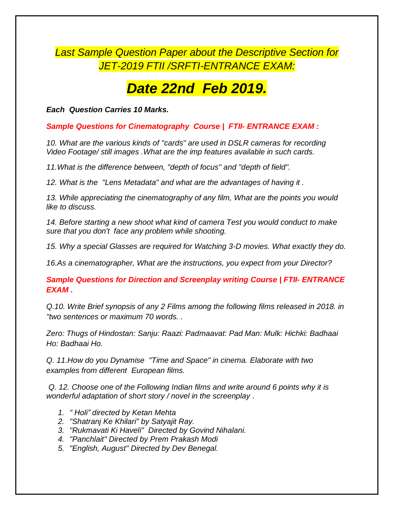## *Last Sample Question Paper about the Descriptive Section for JET-2019 FTII /SRFTI-ENTRANCE EXAM:*

## *Date 22nd Feb 2019.*

*Each Question Carries 10 Marks.*

*Sample Questions for Cinematography Course | FTII- ENTRANCE EXAM :*

*10. What are the various kinds of "cards" are used in DSLR cameras for recording Video Footage/ still images .What are the imp features available in such cards.*

*11.What is the difference between, "depth of focus" and "depth of field".*

*12. What is the "Lens Metadata" and what are the advantages of having it .*

13. While appreciating the cinematography of any film, What are the points you would *like to discuss.*

*14. Before starting a new shoot what kind of camera Test you would conduct to make sure that you don't face any problem while shooting.*

*15. Why a special Glasses are required for Watching 3-D movies. What exactly they do.*

*16.As a cinematographer, What are the instructions, you expect from your Director?*

*Sample Questions for Direction and Screenplay writing Course | FTII- ENTRANCE EXAM .*

*Q.10. Write Brief synopsis of any 2 Films among the following films released in 2018. in "two sentences or maximum 70 words. .*

*Zero: Thugs of Hindostan: Sanju: Raazi: Padmaavat: Pad Man: Mulk: Hichki: Badhaai Ho: Badhaai Ho.*

*Q. 11.How do you Dynamise "Time and Space" in cinema. Elaborate with two examples from different European films.*

*Q. 12. Choose one of the Following Indian films and write around 6 points why it is wonderful adaptation of short story / novel in the screenplay .*

- *1. " Holi" directed by Ketan Mehta*
- *2. "Shatranj Ke Khilari" by Satyajit Ray.*
- *3. "Rukmavati Ki Haveli" Directed by Govind Nihalani.*
- *4. "Panchlait" Directed by Prem Prakash Modi*
- *5. "English, August" Directed by Dev Benegal.*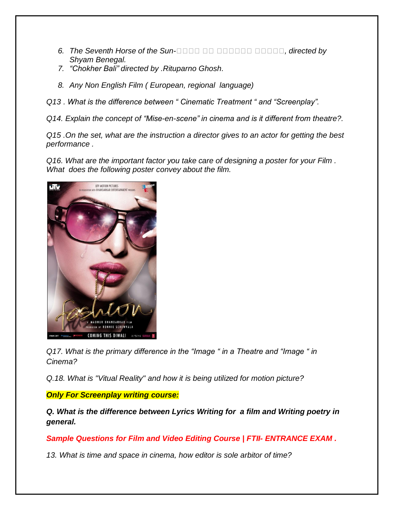- **6.** *The Seventh Horse of the Sun-BER AND BERREA Example 2 and <i>airected by Shyam Benegal.*
- *7. "Chokher Bali" directed by .Rituparno Ghosh.*
- *8. Any Non English Film ( European, regional language)*

*Q13 . What is the difference between " Cinematic Treatment " and "Screenplay".*

*Q14. Explain the concept of "Mise-en-scene" in cinema and is it different from theatre?.*

*Q15 .On the set, what are the instruction a director gives to an actor for getting the best performance .*

*Q16. What are the important factor you take care of designing a poster for your Film . What does the following poster convey about the film.*



*Q17. What is the primary difference in the "Image " in a Theatre and "Image " in Cinema?*

*Q.18. What is "Vitual Reality" and how it is being utilized for motion picture?*

*Only For Screenplay writing course:*

*Q. What is the difference between Lyrics Writing for a film and Writing poetry in general.*

*Sample Questions for Film and Video Editing Course | FTII- ENTRANCE EXAM .*

*13. What is time and space in cinema, how editor is sole arbitor of time?*